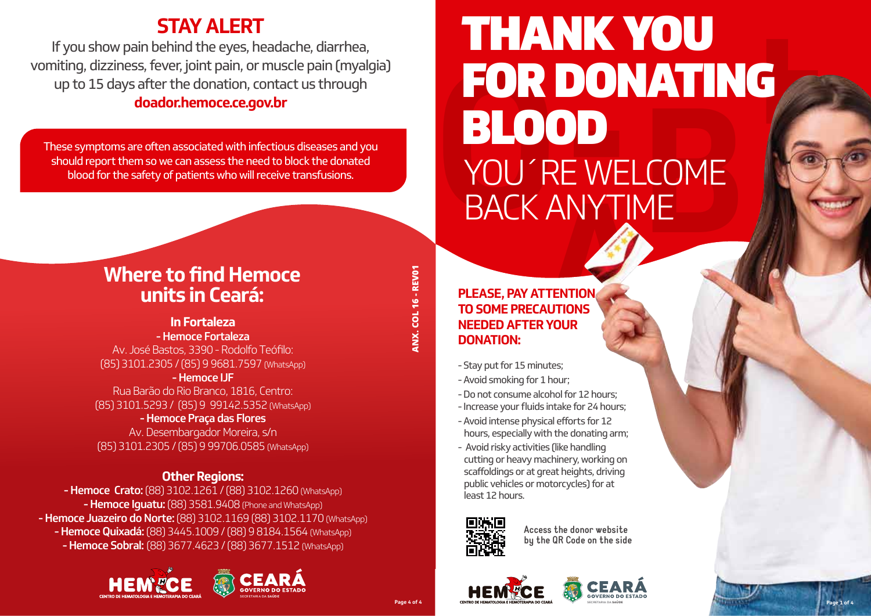## **STAY ALERT**

If you show pain behind the eyes, headache, diarrhea, vomiting, dizziness, fever, joint pain, or muscle pain (myalgia) up to 15 days after the donation, contact us through **doador.hemoce.ce.gov.br**

These symptoms are often associated with infectious diseases and you should report them so we can assess the need to block the donated blood for the safety of patients who will receive transfusions.

# RE WELCOME<br>ANYTIME **t FOR DONATING<br>BLOOD**<br>YOU'RE WELCOME<br>BACK ANYTIME THANK YOU BLOOD YOU´RE WELCOME BACK ANYTIME

## **Where to find Hemoce units in Ceará:**

#### **In Fortaleza**  - Hemoce Fortaleza

Av. José Bastos, 3390 - Rodolfo Teófilo: (85) 3101.2305 / (85) 9 9681.7597 (WhatsApp)

- Hemoce IJF Rua Barão do Rio Branco, 1816, Centro: (85) 3101.5293 / (85) 9 99142.5352 (WhatsApp)

#### - Hemoce Praça das Flores

Av. Desembargador Moreira, s/n (85) 3101.2305 / (85) 9 99706.0585 (WhatsApp)

### **Other Regions:**

- Hemoce Crato: (88) 3102.1261 / (88) 3102.1260 (WhatsApp) - Hemoce Iquatu: (88) 3581.9408 (Phone and WhatsApp) - Hemoce Juazeiro do Norte: (88) 3102.1169 (88) 3102.1170 (WhatsApp) - Hemoce Quixadá: (88) 3445.1009 / (88) 9 8184.1564 (WhatsApp) - Hemoce Sobral: (88) 3677.4623 / (88) 3677.1512 (WhatsApp)





#### **PLEASE, PAY ATTENTION TO SOME PRECAUTIONS NEEDED AFTER YOUR DONATION:**

- Stay put for 15 minutes;
- Avoid smoking for 1 hour;
- Do not consume alcohol for 12 hours;
- Increase your fluids intake for 24 hours;
- Avoid intense physical efforts for 12 hours, especially with the donating arm;
- Avoid risky activities (like handling cutting or heavy machinery, working on scaffoldings or at great heights, driving public vehicles or motorcycles) for at least 12 hours.



**Access the donor website by the QR Code on the side**